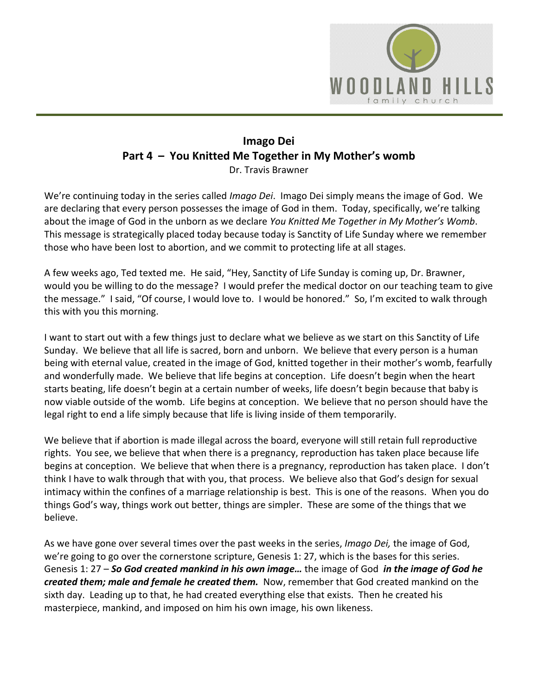

# **Imago Dei Part 4 – You Knitted Me Together in My Mother's womb** Dr. Travis Brawner

We're continuing today in the series called *Imago Dei*. Imago Dei simply means the image of God. We are declaring that every person possesses the image of God in them. Today, specifically, we're talking about the image of God in the unborn as we declare *You Knitted Me Together in My Mother's Womb*. This message is strategically placed today because today is Sanctity of Life Sunday where we remember those who have been lost to abortion, and we commit to protecting life at all stages.

A few weeks ago, Ted texted me. He said, "Hey, Sanctity of Life Sunday is coming up, Dr. Brawner, would you be willing to do the message? I would prefer the medical doctor on our teaching team to give the message." I said, "Of course, I would love to. I would be honored." So, I'm excited to walk through this with you this morning.

I want to start out with a few things just to declare what we believe as we start on this Sanctity of Life Sunday. We believe that all life is sacred, born and unborn. We believe that every person is a human being with eternal value, created in the image of God, knitted together in their mother's womb, fearfully and wonderfully made. We believe that life begins at conception. Life doesn't begin when the heart starts beating, life doesn't begin at a certain number of weeks, life doesn't begin because that baby is now viable outside of the womb. Life begins at conception. We believe that no person should have the legal right to end a life simply because that life is living inside of them temporarily.

We believe that if abortion is made illegal across the board, everyone will still retain full reproductive rights. You see, we believe that when there is a pregnancy, reproduction has taken place because life begins at conception. We believe that when there is a pregnancy, reproduction has taken place. I don't think I have to walk through that with you, that process. We believe also that God's design for sexual intimacy within the confines of a marriage relationship is best. This is one of the reasons. When you do things God's way, things work out better, things are simpler. These are some of the things that we believe.

As we have gone over several times over the past weeks in the series, *Imago Dei,* the image of God, we're going to go over the cornerstone scripture, Genesis 1: 27, which is the bases for this series. Genesis 1: 27 – *So God created mankind in his own image…* the image of God *in the image of God he created them; male and female he created them.* Now, remember that God created mankind on the sixth day. Leading up to that, he had created everything else that exists. Then he created his masterpiece, mankind, and imposed on him his own image, his own likeness.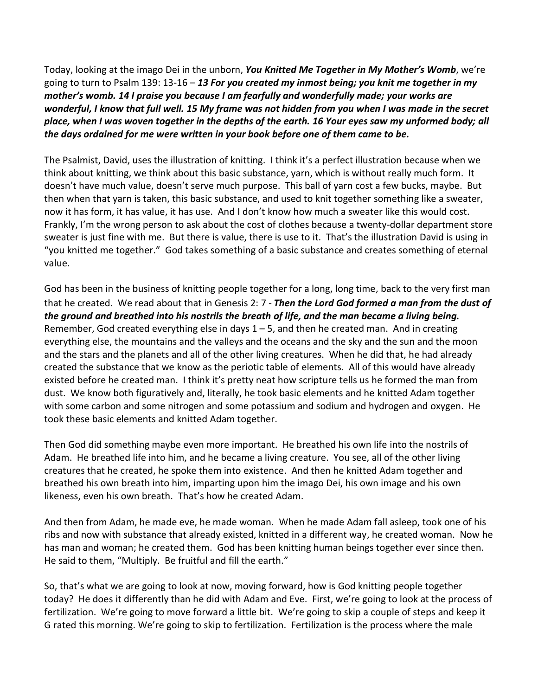Today, looking at the imago Dei in the unborn, *You Knitted Me Together in My Mother's Womb*, we're going to turn to Psalm 139: 13-16 – *13 For you created my inmost being; you knit me together in my mother's womb. 14 I praise you because I am fearfully and wonderfully made; your works are wonderful, I know that full well. 15 My frame was not hidden from you when I was made in the secret place, when I was woven together in the depths of the earth. 16 Your eyes saw my unformed body; all the days ordained for me were written in your book before one of them came to be.*

The Psalmist, David, uses the illustration of knitting. I think it's a perfect illustration because when we think about knitting, we think about this basic substance, yarn, which is without really much form. It doesn't have much value, doesn't serve much purpose. This ball of yarn cost a few bucks, maybe. But then when that yarn is taken, this basic substance, and used to knit together something like a sweater, now it has form, it has value, it has use. And I don't know how much a sweater like this would cost. Frankly, I'm the wrong person to ask about the cost of clothes because a twenty-dollar department store sweater is just fine with me. But there is value, there is use to it. That's the illustration David is using in "you knitted me together." God takes something of a basic substance and creates something of eternal value.

God has been in the business of knitting people together for a long, long time, back to the very first man that he created. We read about that in Genesis 2: 7 - *Then the Lord God formed a man from the dust of the ground and breathed into his nostrils the breath of life, and the man became a living being.* Remember, God created everything else in days  $1 - 5$ , and then he created man. And in creating everything else, the mountains and the valleys and the oceans and the sky and the sun and the moon and the stars and the planets and all of the other living creatures. When he did that, he had already created the substance that we know as the periotic table of elements. All of this would have already existed before he created man. I think it's pretty neat how scripture tells us he formed the man from dust. We know both figuratively and, literally, he took basic elements and he knitted Adam together with some carbon and some nitrogen and some potassium and sodium and hydrogen and oxygen. He took these basic elements and knitted Adam together.

Then God did something maybe even more important. He breathed his own life into the nostrils of Adam. He breathed life into him, and he became a living creature. You see, all of the other living creatures that he created, he spoke them into existence. And then he knitted Adam together and breathed his own breath into him, imparting upon him the imago Dei, his own image and his own likeness, even his own breath. That's how he created Adam.

And then from Adam, he made eve, he made woman. When he made Adam fall asleep, took one of his ribs and now with substance that already existed, knitted in a different way, he created woman. Now he has man and woman; he created them. God has been knitting human beings together ever since then. He said to them, "Multiply. Be fruitful and fill the earth."

So, that's what we are going to look at now, moving forward, how is God knitting people together today? He does it differently than he did with Adam and Eve. First, we're going to look at the process of fertilization. We're going to move forward a little bit. We're going to skip a couple of steps and keep it G rated this morning. We're going to skip to fertilization. Fertilization is the process where the male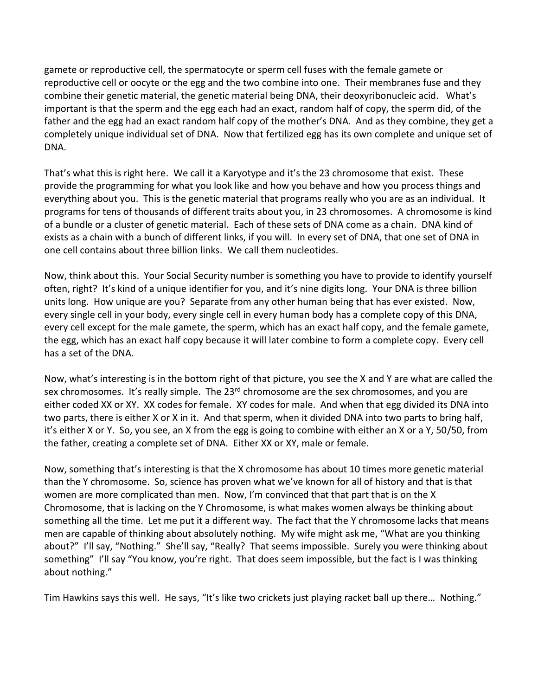gamete or reproductive cell, the spermatocyte or sperm cell fuses with the female gamete or reproductive cell or oocyte or the egg and the two combine into one. Their membranes fuse and they combine their genetic material, the genetic material being DNA, their deoxyribonucleic acid. What's important is that the sperm and the egg each had an exact, random half of copy, the sperm did, of the father and the egg had an exact random half copy of the mother's DNA. And as they combine, they get a completely unique individual set of DNA. Now that fertilized egg has its own complete and unique set of DNA.

That's what this is right here. We call it a Karyotype and it's the 23 chromosome that exist. These provide the programming for what you look like and how you behave and how you process things and everything about you. This is the genetic material that programs really who you are as an individual. It programs for tens of thousands of different traits about you, in 23 chromosomes. A chromosome is kind of a bundle or a cluster of genetic material. Each of these sets of DNA come as a chain. DNA kind of exists as a chain with a bunch of different links, if you will. In every set of DNA, that one set of DNA in one cell contains about three billion links. We call them nucleotides.

Now, think about this. Your Social Security number is something you have to provide to identify yourself often, right? It's kind of a unique identifier for you, and it's nine digits long. Your DNA is three billion units long. How unique are you? Separate from any other human being that has ever existed. Now, every single cell in your body, every single cell in every human body has a complete copy of this DNA, every cell except for the male gamete, the sperm, which has an exact half copy, and the female gamete, the egg, which has an exact half copy because it will later combine to form a complete copy. Every cell has a set of the DNA.

Now, what's interesting is in the bottom right of that picture, you see the X and Y are what are called the sex chromosomes. It's really simple. The 23<sup>rd</sup> chromosome are the sex chromosomes, and you are either coded XX or XY. XX codes for female. XY codes for male. And when that egg divided its DNA into two parts, there is either X or X in it. And that sperm, when it divided DNA into two parts to bring half, it's either X or Y. So, you see, an X from the egg is going to combine with either an X or a Y, 50/50, from the father, creating a complete set of DNA. Either XX or XY, male or female.

Now, something that's interesting is that the X chromosome has about 10 times more genetic material than the Y chromosome. So, science has proven what we've known for all of history and that is that women are more complicated than men. Now, I'm convinced that that part that is on the X Chromosome, that is lacking on the Y Chromosome, is what makes women always be thinking about something all the time. Let me put it a different way. The fact that the Y chromosome lacks that means men are capable of thinking about absolutely nothing. My wife might ask me, "What are you thinking about?" I'll say, "Nothing." She'll say, "Really? That seems impossible. Surely you were thinking about something" I'll say "You know, you're right. That does seem impossible, but the fact is I was thinking about nothing."

Tim Hawkins says this well. He says, "It's like two crickets just playing racket ball up there… Nothing."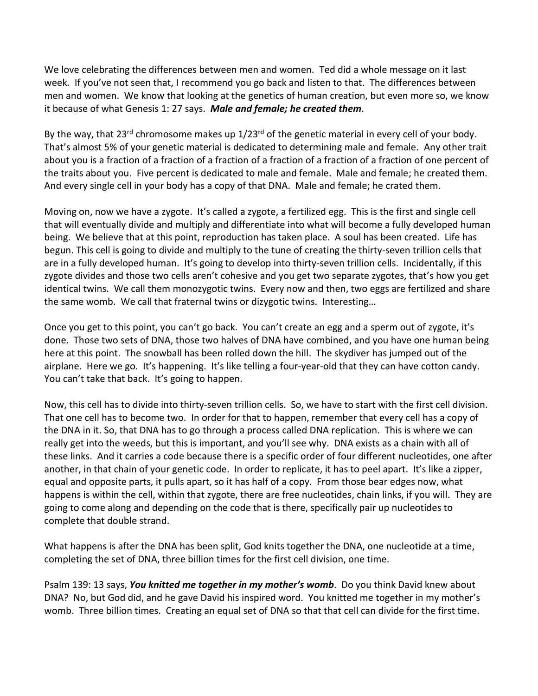We love celebrating the differences between men and women. Ted did a whole message on it last week. If you've not seen that, I recommend you go back and listen to that. The differences between men and women. We know that looking at the genetics of human creation, but even more so, we know it because of what Genesis 1: 27 says. *Male and female; he created them*.

By the way, that 23<sup>rd</sup> chromosome makes up  $1/23^{rd}$  of the genetic material in every cell of your body. That's almost 5% of your genetic material is dedicated to determining male and female. Any other trait about you is a fraction of a fraction of a fraction of a fraction of a fraction of a fraction of one percent of the traits about you. Five percent is dedicated to male and female. Male and female; he created them. And every single cell in your body has a copy of that DNA. Male and female; he crated them.

Moving on, now we have a zygote. It's called a zygote, a fertilized egg. This is the first and single cell that will eventually divide and multiply and differentiate into what will become a fully developed human being. We believe that at this point, reproduction has taken place. A soul has been created. Life has begun. This cell is going to divide and multiply to the tune of creating the thirty-seven trillion cells that are in a fully developed human. It's going to develop into thirty-seven trillion cells. Incidentally, if this zygote divides and those two cells aren't cohesive and you get two separate zygotes, that's how you get identical twins. We call them monozygotic twins. Every now and then, two eggs are fertilized and share the same womb. We call that fraternal twins or dizygotic twins. Interesting…

Once you get to this point, you can't go back. You can't create an egg and a sperm out of zygote, it's done. Those two sets of DNA, those two halves of DNA have combined, and you have one human being here at this point. The snowball has been rolled down the hill. The skydiver has jumped out of the airplane. Here we go. It's happening. It's like telling a four-year-old that they can have cotton candy. You can't take that back. It's going to happen.

Now, this cell has to divide into thirty-seven trillion cells. So, we have to start with the first cell division. That one cell has to become two. In order for that to happen, remember that every cell has a copy of the DNA in it. So, that DNA has to go through a process called DNA replication. This is where we can really get into the weeds, but this is important, and you'll see why. DNA exists as a chain with all of these links. And it carries a code because there is a specific order of four different nucleotides, one after another, in that chain of your genetic code. In order to replicate, it has to peel apart. It's like a zipper, equal and opposite parts, it pulls apart, so it has half of a copy. From those bear edges now, what happens is within the cell, within that zygote, there are free nucleotides, chain links, if you will. They are going to come along and depending on the code that is there, specifically pair up nucleotides to complete that double strand.

What happens is after the DNA has been split, God knits together the DNA, one nucleotide at a time, completing the set of DNA, three billion times for the first cell division, one time.

Psalm 139: 13 says, *You knitted me together in my mother's womb*. Do you think David knew about DNA? No, but God did, and he gave David his inspired word. You knitted me together in my mother's womb. Three billion times. Creating an equal set of DNA so that that cell can divide for the first time.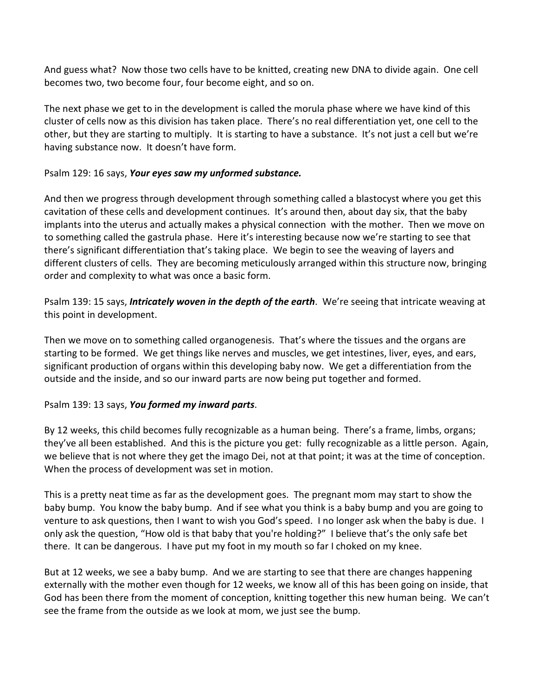And guess what? Now those two cells have to be knitted, creating new DNA to divide again. One cell becomes two, two become four, four become eight, and so on.

The next phase we get to in the development is called the morula phase where we have kind of this cluster of cells now as this division has taken place. There's no real differentiation yet, one cell to the other, but they are starting to multiply. It is starting to have a substance. It's not just a cell but we're having substance now. It doesn't have form.

#### Psalm 129: 16 says, *Your eyes saw my unformed substance.*

And then we progress through development through something called a blastocyst where you get this cavitation of these cells and development continues. It's around then, about day six, that the baby implants into the uterus and actually makes a physical connection with the mother. Then we move on to something called the gastrula phase. Here it's interesting because now we're starting to see that there's significant differentiation that's taking place. We begin to see the weaving of layers and different clusters of cells. They are becoming meticulously arranged within this structure now, bringing order and complexity to what was once a basic form.

Psalm 139: 15 says, *Intricately woven in the depth of the earth*. We're seeing that intricate weaving at this point in development.

Then we move on to something called organogenesis. That's where the tissues and the organs are starting to be formed. We get things like nerves and muscles, we get intestines, liver, eyes, and ears, significant production of organs within this developing baby now. We get a differentiation from the outside and the inside, and so our inward parts are now being put together and formed.

### Psalm 139: 13 says, *You formed my inward parts*.

By 12 weeks, this child becomes fully recognizable as a human being. There's a frame, limbs, organs; they've all been established. And this is the picture you get: fully recognizable as a little person. Again, we believe that is not where they get the imago Dei, not at that point; it was at the time of conception. When the process of development was set in motion.

This is a pretty neat time as far as the development goes. The pregnant mom may start to show the baby bump. You know the baby bump. And if see what you think is a baby bump and you are going to venture to ask questions, then I want to wish you God's speed. I no longer ask when the baby is due. I only ask the question, "How old is that baby that you're holding?" I believe that's the only safe bet there. It can be dangerous. I have put my foot in my mouth so far I choked on my knee.

But at 12 weeks, we see a baby bump. And we are starting to see that there are changes happening externally with the mother even though for 12 weeks, we know all of this has been going on inside, that God has been there from the moment of conception, knitting together this new human being. We can't see the frame from the outside as we look at mom, we just see the bump.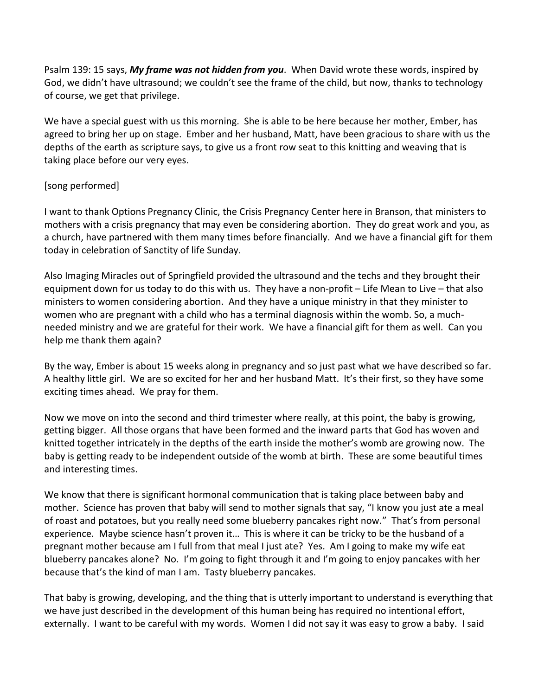Psalm 139: 15 says, *My frame was not hidden from you*. When David wrote these words, inspired by God, we didn't have ultrasound; we couldn't see the frame of the child, but now, thanks to technology of course, we get that privilege.

We have a special guest with us this morning. She is able to be here because her mother, Ember, has agreed to bring her up on stage. Ember and her husband, Matt, have been gracious to share with us the depths of the earth as scripture says, to give us a front row seat to this knitting and weaving that is taking place before our very eyes.

## [song performed]

I want to thank Options Pregnancy Clinic, the Crisis Pregnancy Center here in Branson, that ministers to mothers with a crisis pregnancy that may even be considering abortion. They do great work and you, as a church, have partnered with them many times before financially. And we have a financial gift for them today in celebration of Sanctity of life Sunday.

Also Imaging Miracles out of Springfield provided the ultrasound and the techs and they brought their equipment down for us today to do this with us. They have a non-profit – Life Mean to Live – that also ministers to women considering abortion. And they have a unique ministry in that they minister to women who are pregnant with a child who has a terminal diagnosis within the womb. So, a muchneeded ministry and we are grateful for their work. We have a financial gift for them as well. Can you help me thank them again?

By the way, Ember is about 15 weeks along in pregnancy and so just past what we have described so far. A healthy little girl. We are so excited for her and her husband Matt. It's their first, so they have some exciting times ahead. We pray for them.

Now we move on into the second and third trimester where really, at this point, the baby is growing, getting bigger. All those organs that have been formed and the inward parts that God has woven and knitted together intricately in the depths of the earth inside the mother's womb are growing now. The baby is getting ready to be independent outside of the womb at birth. These are some beautiful times and interesting times.

We know that there is significant hormonal communication that is taking place between baby and mother. Science has proven that baby will send to mother signals that say, "I know you just ate a meal of roast and potatoes, but you really need some blueberry pancakes right now." That's from personal experience. Maybe science hasn't proven it… This is where it can be tricky to be the husband of a pregnant mother because am I full from that meal I just ate? Yes. Am I going to make my wife eat blueberry pancakes alone? No. I'm going to fight through it and I'm going to enjoy pancakes with her because that's the kind of man I am. Tasty blueberry pancakes.

That baby is growing, developing, and the thing that is utterly important to understand is everything that we have just described in the development of this human being has required no intentional effort, externally. I want to be careful with my words. Women I did not say it was easy to grow a baby. I said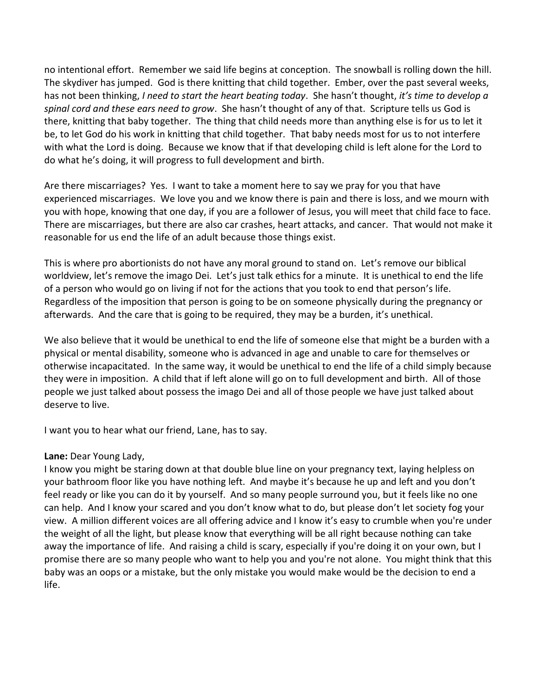no intentional effort. Remember we said life begins at conception. The snowball is rolling down the hill. The skydiver has jumped. God is there knitting that child together. Ember, over the past several weeks, has not been thinking, *I need to start the heart beating today*. She hasn't thought, *it's time to develop a spinal cord and these ears need to grow*. She hasn't thought of any of that. Scripture tells us God is there, knitting that baby together. The thing that child needs more than anything else is for us to let it be, to let God do his work in knitting that child together. That baby needs most for us to not interfere with what the Lord is doing. Because we know that if that developing child is left alone for the Lord to do what he's doing, it will progress to full development and birth.

Are there miscarriages? Yes. I want to take a moment here to say we pray for you that have experienced miscarriages. We love you and we know there is pain and there is loss, and we mourn with you with hope, knowing that one day, if you are a follower of Jesus, you will meet that child face to face. There are miscarriages, but there are also car crashes, heart attacks, and cancer. That would not make it reasonable for us end the life of an adult because those things exist.

This is where pro abortionists do not have any moral ground to stand on. Let's remove our biblical worldview, let's remove the imago Dei. Let's just talk ethics for a minute. It is unethical to end the life of a person who would go on living if not for the actions that you took to end that person's life. Regardless of the imposition that person is going to be on someone physically during the pregnancy or afterwards. And the care that is going to be required, they may be a burden, it's unethical.

We also believe that it would be unethical to end the life of someone else that might be a burden with a physical or mental disability, someone who is advanced in age and unable to care for themselves or otherwise incapacitated. In the same way, it would be unethical to end the life of a child simply because they were in imposition. A child that if left alone will go on to full development and birth. All of those people we just talked about possess the imago Dei and all of those people we have just talked about deserve to live.

I want you to hear what our friend, Lane, has to say.

### **Lane:** Dear Young Lady,

I know you might be staring down at that double blue line on your pregnancy text, laying helpless on your bathroom floor like you have nothing left. And maybe it's because he up and left and you don't feel ready or like you can do it by yourself. And so many people surround you, but it feels like no one can help. And I know your scared and you don't know what to do, but please don't let society fog your view. A million different voices are all offering advice and I know it's easy to crumble when you're under the weight of all the light, but please know that everything will be all right because nothing can take away the importance of life. And raising a child is scary, especially if you're doing it on your own, but I promise there are so many people who want to help you and you're not alone. You might think that this baby was an oops or a mistake, but the only mistake you would make would be the decision to end a life.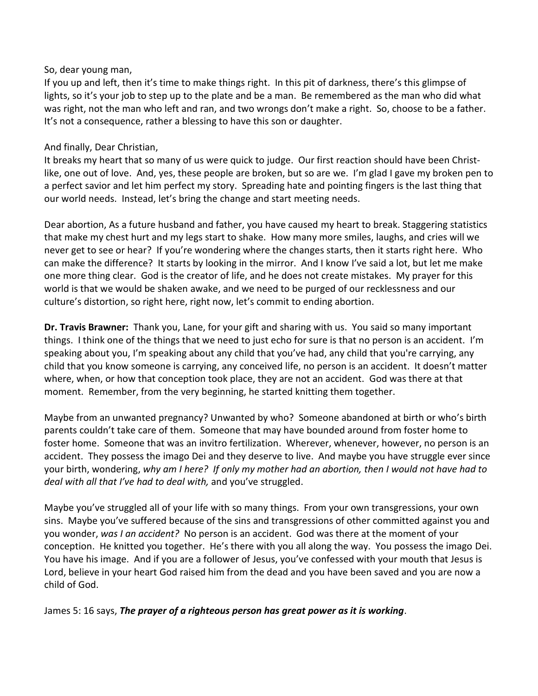#### So, dear young man,

If you up and left, then it's time to make things right. In this pit of darkness, there's this glimpse of lights, so it's your job to step up to the plate and be a man. Be remembered as the man who did what was right, not the man who left and ran, and two wrongs don't make a right. So, choose to be a father. It's not a consequence, rather a blessing to have this son or daughter.

#### And finally, Dear Christian,

It breaks my heart that so many of us were quick to judge. Our first reaction should have been Christlike, one out of love. And, yes, these people are broken, but so are we. I'm glad I gave my broken pen to a perfect savior and let him perfect my story. Spreading hate and pointing fingers is the last thing that our world needs. Instead, let's bring the change and start meeting needs.

Dear abortion, As a future husband and father, you have caused my heart to break. Staggering statistics that make my chest hurt and my legs start to shake. How many more smiles, laughs, and cries will we never get to see or hear? If you're wondering where the changes starts, then it starts right here. Who can make the difference? It starts by looking in the mirror. And I know I've said a lot, but let me make one more thing clear. God is the creator of life, and he does not create mistakes. My prayer for this world is that we would be shaken awake, and we need to be purged of our recklessness and our culture's distortion, so right here, right now, let's commit to ending abortion.

**Dr. Travis Brawner:** Thank you, Lane, for your gift and sharing with us. You said so many important things. I think one of the things that we need to just echo for sure is that no person is an accident. I'm speaking about you, I'm speaking about any child that you've had, any child that you're carrying, any child that you know someone is carrying, any conceived life, no person is an accident. It doesn't matter where, when, or how that conception took place, they are not an accident. God was there at that moment. Remember, from the very beginning, he started knitting them together.

Maybe from an unwanted pregnancy? Unwanted by who? Someone abandoned at birth or who's birth parents couldn't take care of them. Someone that may have bounded around from foster home to foster home. Someone that was an invitro fertilization. Wherever, whenever, however, no person is an accident. They possess the imago Dei and they deserve to live. And maybe you have struggle ever since your birth, wondering, *why am I here? If only my mother had an abortion, then I would not have had to deal with all that I've had to deal with,* and you've struggled.

Maybe you've struggled all of your life with so many things. From your own transgressions, your own sins. Maybe you've suffered because of the sins and transgressions of other committed against you and you wonder, *was I an accident?* No person is an accident. God was there at the moment of your conception. He knitted you together. He's there with you all along the way. You possess the imago Dei. You have his image. And if you are a follower of Jesus, you've confessed with your mouth that Jesus is Lord, believe in your heart God raised him from the dead and you have been saved and you are now a child of God.

James 5: 16 says, *The prayer of a righteous person has great power as it is working*.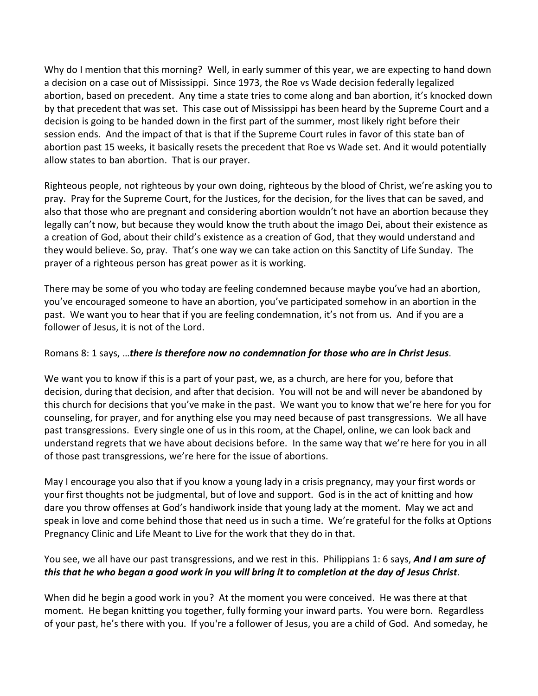Why do I mention that this morning? Well, in early summer of this year, we are expecting to hand down a decision on a case out of Mississippi. Since 1973, the Roe vs Wade decision federally legalized abortion, based on precedent. Any time a state tries to come along and ban abortion, it's knocked down by that precedent that was set. This case out of Mississippi has been heard by the Supreme Court and a decision is going to be handed down in the first part of the summer, most likely right before their session ends. And the impact of that is that if the Supreme Court rules in favor of this state ban of abortion past 15 weeks, it basically resets the precedent that Roe vs Wade set. And it would potentially allow states to ban abortion. That is our prayer.

Righteous people, not righteous by your own doing, righteous by the blood of Christ, we're asking you to pray. Pray for the Supreme Court, for the Justices, for the decision, for the lives that can be saved, and also that those who are pregnant and considering abortion wouldn't not have an abortion because they legally can't now, but because they would know the truth about the imago Dei, about their existence as a creation of God, about their child's existence as a creation of God, that they would understand and they would believe. So, pray. That's one way we can take action on this Sanctity of Life Sunday. The prayer of a righteous person has great power as it is working.

There may be some of you who today are feeling condemned because maybe you've had an abortion, you've encouraged someone to have an abortion, you've participated somehow in an abortion in the past. We want you to hear that if you are feeling condemnation, it's not from us. And if you are a follower of Jesus, it is not of the Lord.

### Romans 8: 1 says, …*there is therefore now no condemnation for those who are in Christ Jesus*.

We want you to know if this is a part of your past, we, as a church, are here for you, before that decision, during that decision, and after that decision. You will not be and will never be abandoned by this church for decisions that you've make in the past. We want you to know that we're here for you for counseling, for prayer, and for anything else you may need because of past transgressions. We all have past transgressions. Every single one of us in this room, at the Chapel, online, we can look back and understand regrets that we have about decisions before. In the same way that we're here for you in all of those past transgressions, we're here for the issue of abortions.

May I encourage you also that if you know a young lady in a crisis pregnancy, may your first words or your first thoughts not be judgmental, but of love and support. God is in the act of knitting and how dare you throw offenses at God's handiwork inside that young lady at the moment. May we act and speak in love and come behind those that need us in such a time. We're grateful for the folks at Options Pregnancy Clinic and Life Meant to Live for the work that they do in that.

You see, we all have our past transgressions, and we rest in this. Philippians 1: 6 says, *And I am sure of this that he who began a good work in you will bring it to completion at the day of Jesus Christ*.

When did he begin a good work in you? At the moment you were conceived. He was there at that moment. He began knitting you together, fully forming your inward parts. You were born. Regardless of your past, he's there with you. If you're a follower of Jesus, you are a child of God. And someday, he